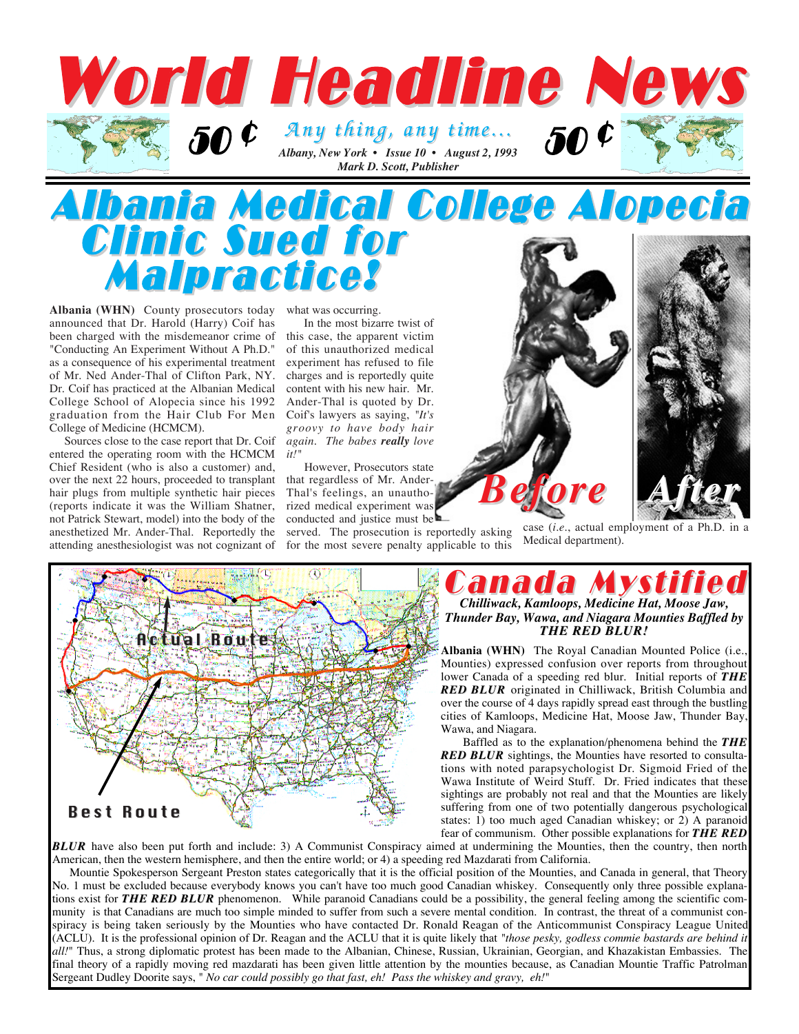

## Albania Medical College Alopecia Clinic Sued for Malpractice!

**Albania (WHN)** County prosecutors today announced that Dr. Harold (Harry) Coif has been charged with the misdemeanor crime of "Conducting An Experiment Without A Ph.D." as a consequence of his experimental treatment of Mr. Ned Ander-Thal of Clifton Park, NY. Dr. Coif has practiced at the Albanian Medical College School of Alopecia since his 1992 graduation from the Hair Club For Men College of Medicine (HCMCM).

Sources close to the case report that Dr. Coif entered the operating room with the HCMCM Chief Resident (who is also a customer) and, over the next 22 hours, proceeded to transplant hair plugs from multiple synthetic hair pieces (reports indicate it was the William Shatner, not Patrick Stewart, model) into the body of the anesthetized Mr. Ander-Thal. Reportedly the attending anesthesiologist was not cognizant of what was occurring.

In the most bizarre twist of this case, the apparent victim of this unauthorized medical experiment has refused to file charges and is reportedly quite content with his new hair. Mr. Ander-Thal is quoted by Dr. Coif's lawyers as saying, *"It's groovy to have body hair again. The babes really love it!"*

However, Prosecutors state that regardless of Mr. Ander-Thal's feelings, an unauthorized medical experiment was conducted and justice must be

served. The prosecution is reportedly asking for the most severe penalty applicable to this



case (*i.e.*, actual employment of a Ph.D. in a Medical department).



### anada M *Chilliwack, Kamloops, Medicine Hat, Moose Jaw, Thunder Bay, Wawa, and Niagara Mounties Baffled by THE RED BLUR!*

**Albania (WHN)** The Royal Canadian Mounted Police (i.e., Mounties) expressed confusion over reports from throughout lower Canada of a speeding red blur. Initial reports of *THE RED BLUR* originated in Chilliwack, British Columbia and over the course of 4 days rapidly spread east through the bustling cities of Kamloops, Medicine Hat, Moose Jaw, Thunder Bay, Wawa, and Niagara.

Baffled as to the explanation/phenomena behind the *THE RED BLUR* sightings, the Mounties have resorted to consultations with noted parapsychologist Dr. Sigmoid Fried of the Wawa Institute of Weird Stuff. Dr. Fried indicates that these sightings are probably not real and that the Mounties are likely suffering from one of two potentially dangerous psychological states: 1) too much aged Canadian whiskey; or 2) A paranoid fear of communism. Other possible explanations for *THE RED*

**BLUR** have also been put forth and include: 3) A Communist Conspiracy aimed at undermining the Mounties, then the country, then north American, then the western hemisphere, and then the entire world; or 4) a speeding red Mazdarati from California.

Mountie Spokesperson Sergeant Preston states categorically that it is the official position of the Mounties, and Canada in general, that Theory No. 1 must be excluded because everybody knows you can't have too much good Canadian whiskey. Consequently only three possible explanations exist for *THE RED BLUR* phenomenon. While paranoid Canadians could be a possibility, the general feeling among the scientific community is that Canadians are much too simple minded to suffer from such a severe mental condition. In contrast, the threat of a communist conspiracy is being taken seriously by the Mounties who have contacted Dr. Ronald Reagan of the Anticommunist Conspiracy League United (ACLU). It is the professional opinion of Dr. Reagan and the ACLU that it is quite likely that *"those pesky, godless commie bastards are behind it all!*" Thus, a strong diplomatic protest has been made to the Albanian, Chinese, Russian, Ukrainian, Georgian, and Khazakistan Embassies. The final theory of a rapidly moving red mazdarati has been given little attention by the mounties because, as Canadian Mountie Traffic Patrolman Sergeant Dudley Doorite says, " *No car could possibly go that fast, eh! Pass the whiskey and gravy, eh!*"